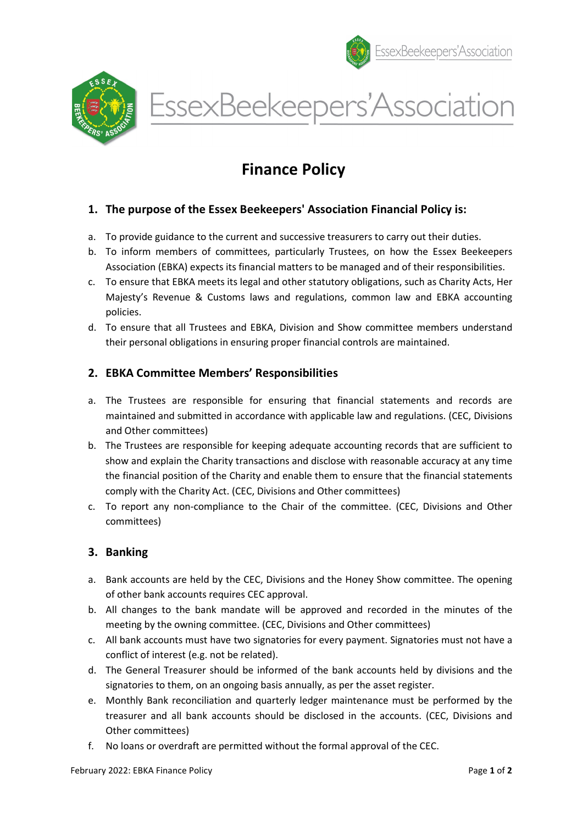



EssexBeekeepers'Association

# Finance Policy

## 1. The purpose of the Essex Beekeepers' Association Financial Policy is:

- a. To provide guidance to the current and successive treasurers to carry out their duties.
- b. To inform members of committees, particularly Trustees, on how the Essex Beekeepers Association (EBKA) expects its financial matters to be managed and of their responsibilities.
- c. To ensure that EBKA meets its legal and other statutory obligations, such as Charity Acts, Her Majesty's Revenue & Customs laws and regulations, common law and EBKA accounting policies.
- d. To ensure that all Trustees and EBKA, Division and Show committee members understand their personal obligations in ensuring proper financial controls are maintained.

#### 2. EBKA Committee Members' Responsibilities

- a. The Trustees are responsible for ensuring that financial statements and records are maintained and submitted in accordance with applicable law and regulations. (CEC, Divisions and Other committees)
- b. The Trustees are responsible for keeping adequate accounting records that are sufficient to show and explain the Charity transactions and disclose with reasonable accuracy at any time the financial position of the Charity and enable them to ensure that the financial statements comply with the Charity Act. (CEC, Divisions and Other committees)
- c. To report any non-compliance to the Chair of the committee. (CEC, Divisions and Other committees)

## 3. Banking

- a. Bank accounts are held by the CEC, Divisions and the Honey Show committee. The opening of other bank accounts requires CEC approval.
- b. All changes to the bank mandate will be approved and recorded in the minutes of the meeting by the owning committee. (CEC, Divisions and Other committees)
- c. All bank accounts must have two signatories for every payment. Signatories must not have a conflict of interest (e.g. not be related).
- d. The General Treasurer should be informed of the bank accounts held by divisions and the signatories to them, on an ongoing basis annually, as per the asset register.
- e. Monthly Bank reconciliation and quarterly ledger maintenance must be performed by the treasurer and all bank accounts should be disclosed in the accounts. (CEC, Divisions and Other committees)
- f. No loans or overdraft are permitted without the formal approval of the CEC.